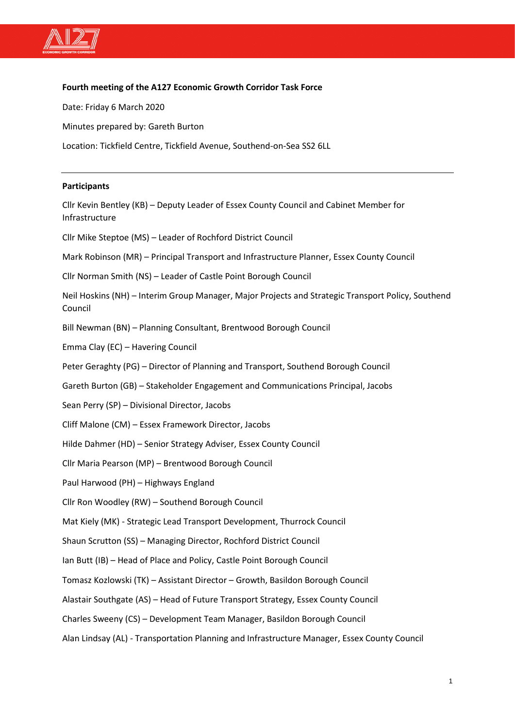

## **Fourth meeting of the A127 Economic Growth Corridor Task Force**

Date: Friday 6 March 2020

Minutes prepared by: Gareth Burton

Location: Tickfield Centre, Tickfield Avenue, Southend-on-Sea SS2 6LL

### **Participants**

Cllr Kevin Bentley (KB) – Deputy Leader of Essex County Council and Cabinet Member for Infrastructure Cllr Mike Steptoe (MS) – Leader of Rochford District Council Mark Robinson (MR) – Principal Transport and Infrastructure Planner, Essex County Council Cllr Norman Smith (NS) – Leader of Castle Point Borough Council Neil Hoskins (NH) – Interim Group Manager, Major Projects and Strategic Transport Policy, Southend Council Bill Newman (BN) – Planning Consultant, Brentwood Borough Council Emma Clay (EC) – Havering Council Peter Geraghty (PG) – Director of Planning and Transport, Southend Borough Council Gareth Burton (GB) – Stakeholder Engagement and Communications Principal, Jacobs Sean Perry (SP) – Divisional Director, Jacobs Cliff Malone (CM) – Essex Framework Director, Jacobs Hilde Dahmer (HD) – Senior Strategy Adviser, Essex County Council Cllr Maria Pearson (MP) – Brentwood Borough Council Paul Harwood (PH) – Highways England Cllr Ron Woodley (RW) – Southend Borough Council Mat Kiely (MK) - Strategic Lead Transport Development, Thurrock Council Shaun Scrutton (SS) – Managing Director, Rochford District Council Ian Butt (IB) – Head of Place and Policy, Castle Point Borough Council Tomasz Kozlowski (TK) – Assistant Director – Growth, Basildon Borough Council Alastair Southgate (AS) – Head of Future Transport Strategy, Essex County Council Charles Sweeny (CS) – Development Team Manager, Basildon Borough Council Alan Lindsay (AL) - Transportation Planning and Infrastructure Manager, Essex County Council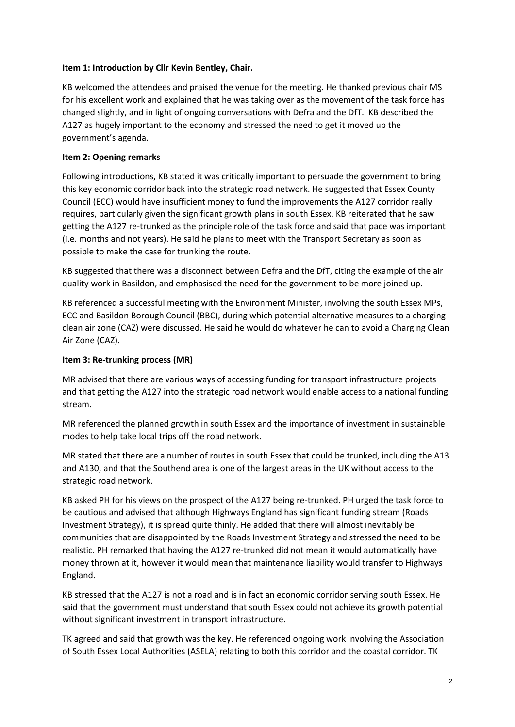## **Item 1: Introduction by Cllr Kevin Bentley, Chair.**

KB welcomed the attendees and praised the venue for the meeting. He thanked previous chair MS for his excellent work and explained that he was taking over as the movement of the task force has changed slightly, and in light of ongoing conversations with Defra and the DfT. KB described the A127 as hugely important to the economy and stressed the need to get it moved up the government's agenda.

## **Item 2: Opening remarks**

Following introductions, KB stated it was critically important to persuade the government to bring this key economic corridor back into the strategic road network. He suggested that Essex County Council (ECC) would have insufficient money to fund the improvements the A127 corridor really requires, particularly given the significant growth plans in south Essex. KB reiterated that he saw getting the A127 re-trunked as the principle role of the task force and said that pace was important (i.e. months and not years). He said he plans to meet with the Transport Secretary as soon as possible to make the case for trunking the route.

KB suggested that there was a disconnect between Defra and the DfT, citing the example of the air quality work in Basildon, and emphasised the need for the government to be more joined up.

KB referenced a successful meeting with the Environment Minister, involving the south Essex MPs, ECC and Basildon Borough Council (BBC), during which potential alternative measures to a charging clean air zone (CAZ) were discussed. He said he would do whatever he can to avoid a Charging Clean Air Zone (CAZ).

## **Item 3: Re-trunking process (MR)**

MR advised that there are various ways of accessing funding for transport infrastructure projects and that getting the A127 into the strategic road network would enable access to a national funding stream.

MR referenced the planned growth in south Essex and the importance of investment in sustainable modes to help take local trips off the road network.

MR stated that there are a number of routes in south Essex that could be trunked, including the A13 and A130, and that the Southend area is one of the largest areas in the UK without access to the strategic road network.

KB asked PH for his views on the prospect of the A127 being re-trunked. PH urged the task force to be cautious and advised that although Highways England has significant funding stream (Roads Investment Strategy), it is spread quite thinly. He added that there will almost inevitably be communities that are disappointed by the Roads Investment Strategy and stressed the need to be realistic. PH remarked that having the A127 re-trunked did not mean it would automatically have money thrown at it, however it would mean that maintenance liability would transfer to Highways England.

KB stressed that the A127 is not a road and is in fact an economic corridor serving south Essex. He said that the government must understand that south Essex could not achieve its growth potential without significant investment in transport infrastructure.

TK agreed and said that growth was the key. He referenced ongoing work involving the Association of South Essex Local Authorities (ASELA) relating to both this corridor and the coastal corridor. TK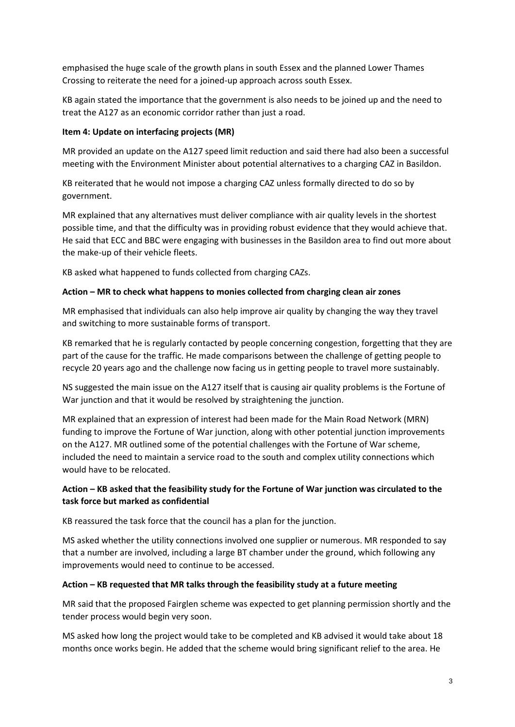emphasised the huge scale of the growth plans in south Essex and the planned Lower Thames Crossing to reiterate the need for a joined-up approach across south Essex.

KB again stated the importance that the government is also needs to be joined up and the need to treat the A127 as an economic corridor rather than just a road.

## **Item 4: Update on interfacing projects (MR)**

MR provided an update on the A127 speed limit reduction and said there had also been a successful meeting with the Environment Minister about potential alternatives to a charging CAZ in Basildon.

KB reiterated that he would not impose a charging CAZ unless formally directed to do so by government.

MR explained that any alternatives must deliver compliance with air quality levels in the shortest possible time, and that the difficulty was in providing robust evidence that they would achieve that. He said that ECC and BBC were engaging with businesses in the Basildon area to find out more about the make-up of their vehicle fleets.

KB asked what happened to funds collected from charging CAZs.

## **Action – MR to check what happens to monies collected from charging clean air zones**

MR emphasised that individuals can also help improve air quality by changing the way they travel and switching to more sustainable forms of transport.

KB remarked that he is regularly contacted by people concerning congestion, forgetting that they are part of the cause for the traffic. He made comparisons between the challenge of getting people to recycle 20 years ago and the challenge now facing us in getting people to travel more sustainably.

NS suggested the main issue on the A127 itself that is causing air quality problems is the Fortune of War junction and that it would be resolved by straightening the junction.

MR explained that an expression of interest had been made for the Main Road Network (MRN) funding to improve the Fortune of War junction, along with other potential junction improvements on the A127. MR outlined some of the potential challenges with the Fortune of War scheme, included the need to maintain a service road to the south and complex utility connections which would have to be relocated.

# **Action – KB asked that the feasibility study for the Fortune of War junction was circulated to the task force but marked as confidential**

KB reassured the task force that the council has a plan for the junction.

MS asked whether the utility connections involved one supplier or numerous. MR responded to say that a number are involved, including a large BT chamber under the ground, which following any improvements would need to continue to be accessed.

### **Action – KB requested that MR talks through the feasibility study at a future meeting**

MR said that the proposed Fairglen scheme was expected to get planning permission shortly and the tender process would begin very soon.

MS asked how long the project would take to be completed and KB advised it would take about 18 months once works begin. He added that the scheme would bring significant relief to the area. He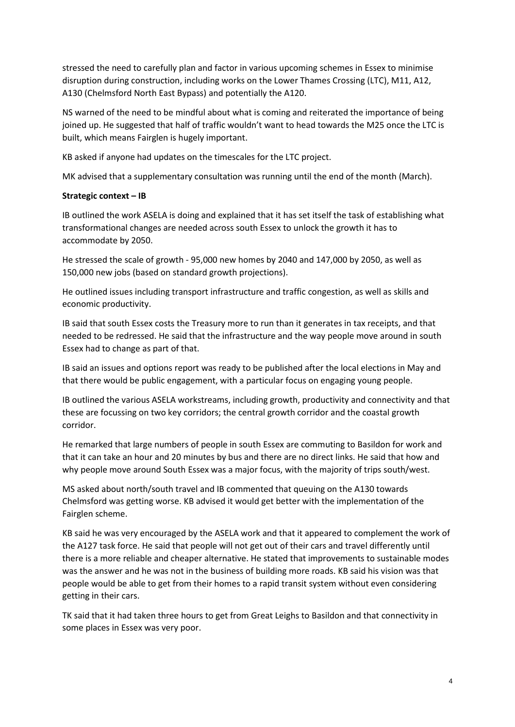stressed the need to carefully plan and factor in various upcoming schemes in Essex to minimise disruption during construction, including works on the Lower Thames Crossing (LTC), M11, A12, A130 (Chelmsford North East Bypass) and potentially the A120.

NS warned of the need to be mindful about what is coming and reiterated the importance of being joined up. He suggested that half of traffic wouldn't want to head towards the M25 once the LTC is built, which means Fairglen is hugely important.

KB asked if anyone had updates on the timescales for the LTC project.

MK advised that a supplementary consultation was running until the end of the month (March).

## **Strategic context – IB**

IB outlined the work ASELA is doing and explained that it has set itself the task of establishing what transformational changes are needed across south Essex to unlock the growth it has to accommodate by 2050.

He stressed the scale of growth - 95,000 new homes by 2040 and 147,000 by 2050, as well as 150,000 new jobs (based on standard growth projections).

He outlined issues including transport infrastructure and traffic congestion, as well as skills and economic productivity.

IB said that south Essex costs the Treasury more to run than it generates in tax receipts, and that needed to be redressed. He said that the infrastructure and the way people move around in south Essex had to change as part of that.

IB said an issues and options report was ready to be published after the local elections in May and that there would be public engagement, with a particular focus on engaging young people.

IB outlined the various ASELA workstreams, including growth, productivity and connectivity and that these are focussing on two key corridors; the central growth corridor and the coastal growth corridor.

He remarked that large numbers of people in south Essex are commuting to Basildon for work and that it can take an hour and 20 minutes by bus and there are no direct links. He said that how and why people move around South Essex was a major focus, with the majority of trips south/west.

MS asked about north/south travel and IB commented that queuing on the A130 towards Chelmsford was getting worse. KB advised it would get better with the implementation of the Fairglen scheme.

KB said he was very encouraged by the ASELA work and that it appeared to complement the work of the A127 task force. He said that people will not get out of their cars and travel differently until there is a more reliable and cheaper alternative. He stated that improvements to sustainable modes was the answer and he was not in the business of building more roads. KB said his vision was that people would be able to get from their homes to a rapid transit system without even considering getting in their cars.

TK said that it had taken three hours to get from Great Leighs to Basildon and that connectivity in some places in Essex was very poor.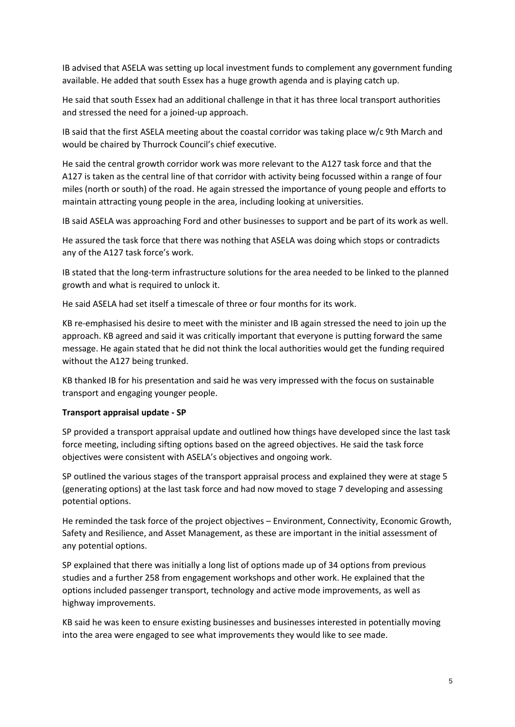IB advised that ASELA was setting up local investment funds to complement any government funding available. He added that south Essex has a huge growth agenda and is playing catch up.

He said that south Essex had an additional challenge in that it has three local transport authorities and stressed the need for a joined-up approach.

IB said that the first ASELA meeting about the coastal corridor was taking place w/c 9th March and would be chaired by Thurrock Council's chief executive.

He said the central growth corridor work was more relevant to the A127 task force and that the A127 is taken as the central line of that corridor with activity being focussed within a range of four miles (north or south) of the road. He again stressed the importance of young people and efforts to maintain attracting young people in the area, including looking at universities.

IB said ASELA was approaching Ford and other businesses to support and be part of its work as well.

He assured the task force that there was nothing that ASELA was doing which stops or contradicts any of the A127 task force's work.

IB stated that the long-term infrastructure solutions for the area needed to be linked to the planned growth and what is required to unlock it.

He said ASELA had set itself a timescale of three or four months for its work.

KB re-emphasised his desire to meet with the minister and IB again stressed the need to join up the approach. KB agreed and said it was critically important that everyone is putting forward the same message. He again stated that he did not think the local authorities would get the funding required without the A127 being trunked.

KB thanked IB for his presentation and said he was very impressed with the focus on sustainable transport and engaging younger people.

### **Transport appraisal update - SP**

SP provided a transport appraisal update and outlined how things have developed since the last task force meeting, including sifting options based on the agreed objectives. He said the task force objectives were consistent with ASELA's objectives and ongoing work.

SP outlined the various stages of the transport appraisal process and explained they were at stage 5 (generating options) at the last task force and had now moved to stage 7 developing and assessing potential options.

He reminded the task force of the project objectives – Environment, Connectivity, Economic Growth, Safety and Resilience, and Asset Management, as these are important in the initial assessment of any potential options.

SP explained that there was initially a long list of options made up of 34 options from previous studies and a further 258 from engagement workshops and other work. He explained that the options included passenger transport, technology and active mode improvements, as well as highway improvements.

KB said he was keen to ensure existing businesses and businesses interested in potentially moving into the area were engaged to see what improvements they would like to see made.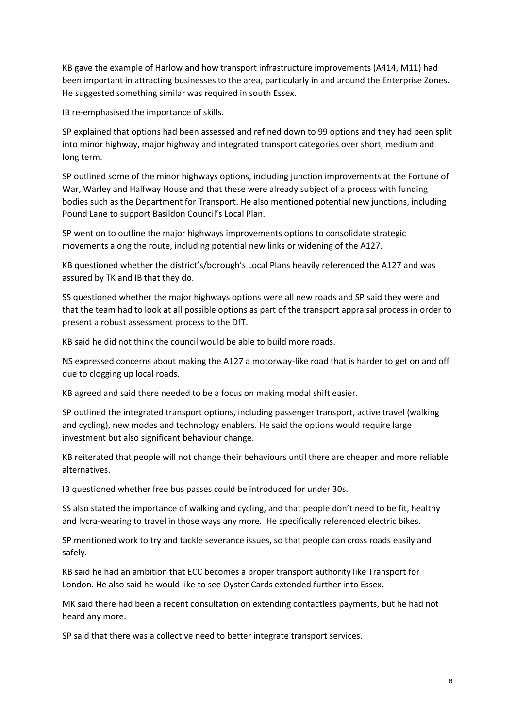KB gave the example of Harlow and how transport infrastructure improvements (A414, M11) had been important in attracting businesses to the area, particularly in and around the Enterprise Zones. He suggested something similar was required in south Essex.

IB re-emphasised the importance of skills.

SP explained that options had been assessed and refined down to 99 options and they had been split into minor highway, major highway and integrated transport categories over short, medium and long term.

SP outlined some of the minor highways options, including junction improvements at the Fortune of War, Warley and Halfway House and that these were already subject of a process with funding bodies such as the Department for Transport. He also mentioned potential new junctions, including Pound Lane to support Basildon Council's Local Plan.

SP went on to outline the major highways improvements options to consolidate strategic movements along the route, including potential new links or widening of the A127.

KB questioned whether the district's/borough's Local Plans heavily referenced the A127 and was assured by TK and IB that they do.

SS questioned whether the major highways options were all new roads and SP said they were and that the team had to look at all possible options as part of the transport appraisal process in order to present a robust assessment process to the DfT.

KB said he did not think the council would be able to build more roads.

NS expressed concerns about making the A127 a motorway-like road that is harder to get on and off due to clogging up local roads.

KB agreed and said there needed to be a focus on making modal shift easier.

SP outlined the integrated transport options, including passenger transport, active travel (walking and cycling), new modes and technology enablers. He said the options would require large investment but also significant behaviour change.

KB reiterated that people will not change their behaviours until there are cheaper and more reliable alternatives.

IB questioned whether free bus passes could be introduced for under 30s.

SS also stated the importance of walking and cycling, and that people don't need to be fit, healthy and lycra-wearing to travel in those ways any more. He specifically referenced electric bikes.

SP mentioned work to try and tackle severance issues, so that people can cross roads easily and safely.

KB said he had an ambition that ECC becomes a proper transport authority like Transport for London. He also said he would like to see Oyster Cards extended further into Essex.

MK said there had been a recent consultation on extending contactless payments, but he had not heard any more.

SP said that there was a collective need to better integrate transport services.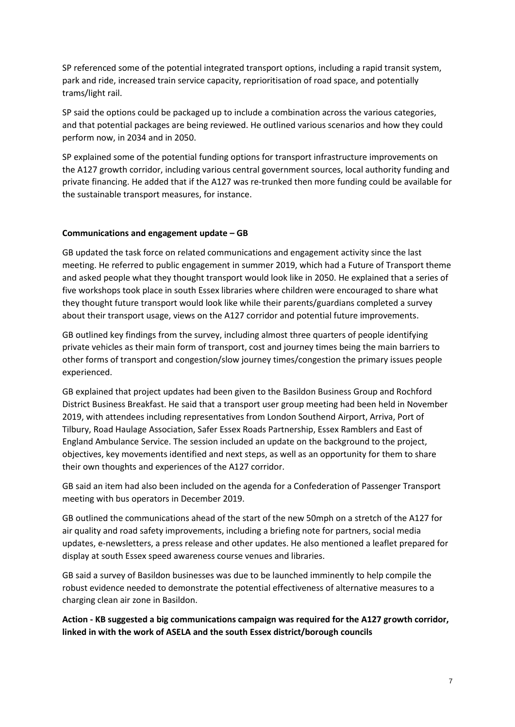SP referenced some of the potential integrated transport options, including a rapid transit system, park and ride, increased train service capacity, reprioritisation of road space, and potentially trams/light rail.

SP said the options could be packaged up to include a combination across the various categories, and that potential packages are being reviewed. He outlined various scenarios and how they could perform now, in 2034 and in 2050.

SP explained some of the potential funding options for transport infrastructure improvements on the A127 growth corridor, including various central government sources, local authority funding and private financing. He added that if the A127 was re-trunked then more funding could be available for the sustainable transport measures, for instance.

## **Communications and engagement update – GB**

GB updated the task force on related communications and engagement activity since the last meeting. He referred to public engagement in summer 2019, which had a Future of Transport theme and asked people what they thought transport would look like in 2050. He explained that a series of five workshops took place in south Essex libraries where children were encouraged to share what they thought future transport would look like while their parents/guardians completed a survey about their transport usage, views on the A127 corridor and potential future improvements.

GB outlined key findings from the survey, including almost three quarters of people identifying private vehicles as their main form of transport, cost and journey times being the main barriers to other forms of transport and congestion/slow journey times/congestion the primary issues people experienced.

GB explained that project updates had been given to the Basildon Business Group and Rochford District Business Breakfast. He said that a transport user group meeting had been held in November 2019, with attendees including representatives from London Southend Airport, Arriva, Port of Tilbury, Road Haulage Association, Safer Essex Roads Partnership, Essex Ramblers and East of England Ambulance Service. The session included an update on the background to the project, objectives, key movements identified and next steps, as well as an opportunity for them to share their own thoughts and experiences of the A127 corridor.

GB said an item had also been included on the agenda for a Confederation of Passenger Transport meeting with bus operators in December 2019.

GB outlined the communications ahead of the start of the new 50mph on a stretch of the A127 for air quality and road safety improvements, including a briefing note for partners, social media updates, e-newsletters, a press release and other updates. He also mentioned a leaflet prepared for display at south Essex speed awareness course venues and libraries.

GB said a survey of Basildon businesses was due to be launched imminently to help compile the robust evidence needed to demonstrate the potential effectiveness of alternative measures to a charging clean air zone in Basildon.

**Action - KB suggested a big communications campaign was required for the A127 growth corridor, linked in with the work of ASELA and the south Essex district/borough councils**